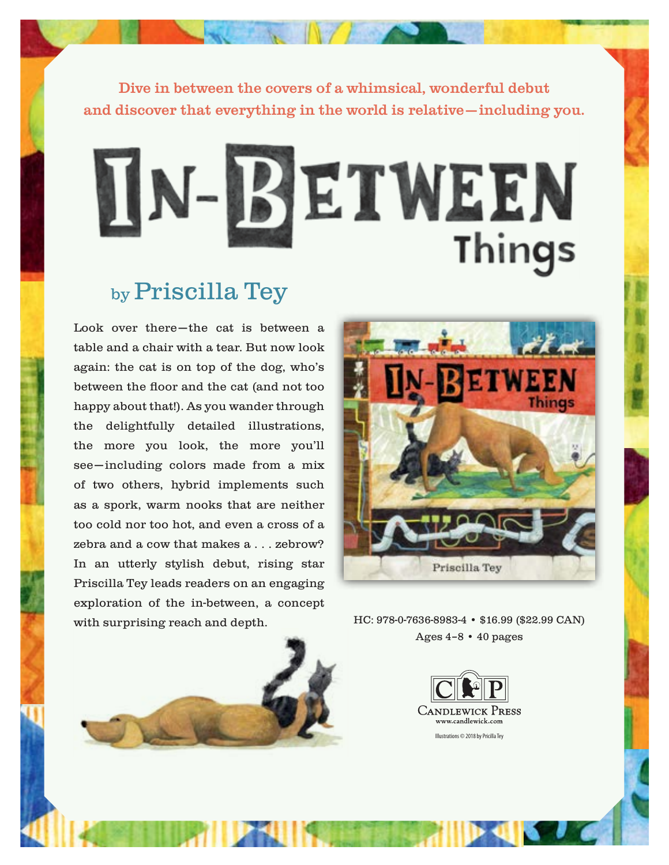Dive in between the covers of a whimsical, wonderful debut and discover that everything in the world is relative—including you.



# by Priscilla Tey

Look over there—the cat is between a table and a chair with a tear. But now look again: the cat is on top of the dog, who's between the floor and the cat (and not too happy about that!). As you wander through the delightfully detailed illustrations, the more you look, the more you'll see—including colors made from a mix of two others, hybrid implements such as a spork, warm nooks that are neither too cold nor too hot, and even a cross of a zebra and a cow that makes a . . . zebrow? In an utterly stylish debut, rising star Priscilla Tey leads readers on an engaging exploration of the in-between, a concept with surprising reach and depth. HC: 978-0-7636-8983-4 • \$16.99 (\$22.99 CAN)



Ages 4–8 • 40 pages

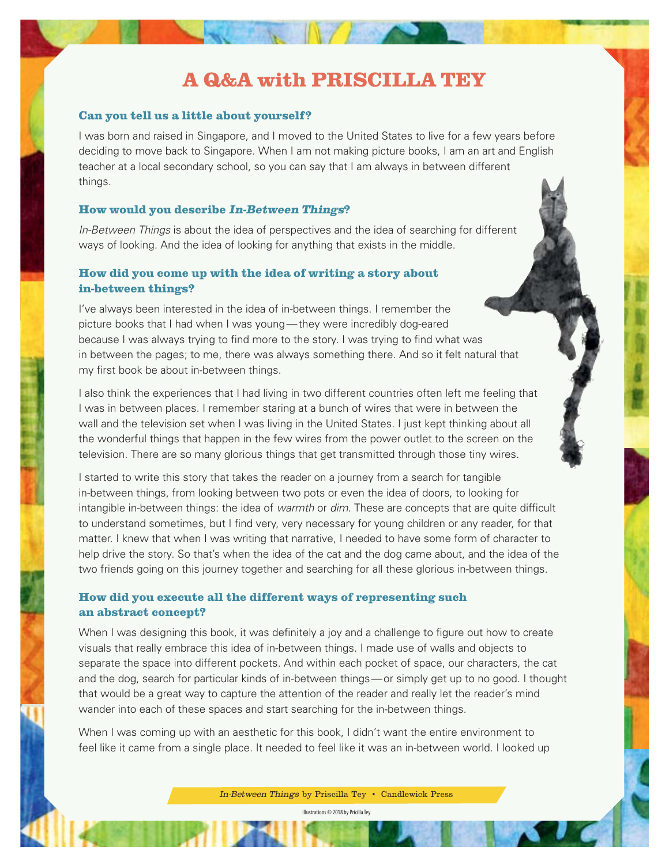## **A Q&A with PRISCILLA TEY**

#### **Can you tell us a little about yourself?**

I was born and raised in Singapore, and I moved to the United States to live for a few years before deciding to move back to Singapore. When I am not making picture books, I am an art and English teacher at a local secondary school, so you can say that I am always in between different things.

#### **How would you describe In-Between Things?**

*In-Between Things* is about the idea of perspectives and the idea of searching for different ways of looking. And the idea of looking for anything that exists in the middle.

#### **How did you come up with the idea of writing a story about in-between things?**

I've always been interested in the idea of in-between things. I remember the picture books that I had when I was young—they were incredibly dog-eared because I was always trying to find more to the story. I was trying to find what was in between the pages; to me, there was always something there. And so it felt natural that my first book be about in-between things.

I also think the experiences that I had living in two different countries often left me feeling that I was in between places. I remember staring at a bunch of wires that were in between the wall and the television set when I was living in the United States. I just kept thinking about all the wonderful things that happen in the few wires from the power outlet to the screen on the television. There are so many glorious things that get transmitted through those tiny wires.

I started to write this story that takes the reader on a journey from a search for tangible in-between things, from looking between two pots or even the idea of doors, to looking for intangible in-between things: the idea of *warmth* or *dim*. These are concepts that are quite difficult to understand sometimes, but I find very, very necessary for young children or any reader, for that matter. I knew that when I was writing that narrative, I needed to have some form of character to help drive the story. So that's when the idea of the cat and the dog came about, and the idea of the two friends going on this journey together and searching for all these glorious in-between things.

#### **How did you execute all the different ways of representing such an abstract concept?**

When I was designing this book, it was definitely a joy and a challenge to figure out how to create visuals that really embrace this idea of in-between things. I made use of walls and objects to separate the space into different pockets. And within each pocket of space, our characters, the cat and the dog, search for particular kinds of in-between things—or simply get up to no good. I thought that would be a great way to capture the attention of the reader and really let the reader's mind wander into each of these spaces and start searching for the in-between things.

When I was coming up with an aesthetic for this book, I didn't want the entire environment to feel like it came from a single place. It needed to feel like it was an in-between world. I looked up

In-Between Things by Priscilla Tey • Candlewick Press

Illustrations © 2018 by Pricilla Tey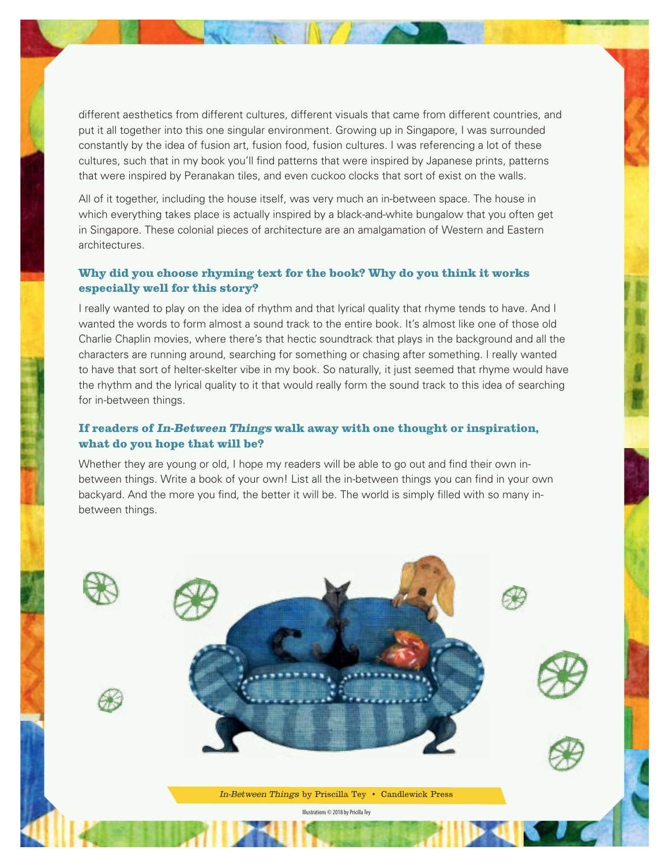different aesthetics from different cultures, different visuals that came from different countries, and put it all together into this one singular environment. Growing up in Singapore, I was surrounded constantly by the idea of fusion art, fusion food, fusion cultures. I was referencing a lot of these cultures, such that in my book you'll find patterns that were inspired by Japanese prints, patterns that were inspired by Peranakan tiles, and even cuckoo clocks that sort of exist on the walls.

All of it together, including the house itself, was very much an in-between space. The house in which everything takes place is actually inspired by a black-and-white bungalow that you often get in Singapore. These colonial pieces of architecture are an amalgamation of Western and Eastern architectures.

#### **Why did you choose rhyming text for the book? Why do you think it works especially well for this story?**

I really wanted to play on the idea of rhythm and that lyrical quality that rhyme tends to have. And I wanted the words to form almost a sound track to the entire book. It's almost like one of those old Charlie Chaplin movies, where there's that hectic soundtrack that plays in the background and all the characters are running around, searching for something or chasing after something. I really wanted to have that sort of helter-skelter vibe in my book. So naturally, it just seemed that rhyme would have the rhythm and the lyrical quality to it that would really form the sound track to this idea of searching for in-between things.

#### **If readers of In-Between Things walk away with one thought or inspiration, what do you hope that will be?**

Whether they are young or old, I hope my readers will be able to go out and find their own inbetween things. Write a book of your own! List all the in-between things you can find in your own backyard. And the more you find, the better it will be. The world is simply filled with so many inbetween things.

> In-Between Things by Priscilla Tey • Candlewick Press Illustrations © 2018 by Pricilla Tey